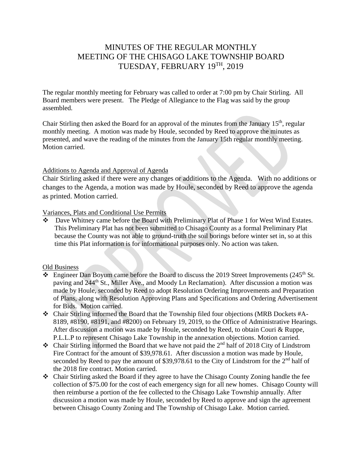# MINUTES OF THE REGULAR MONTHLY MEETING OF THE CHISAGO LAKE TOWNSHIP BOARD TUESDAY, FEBRUARY 19TH , 2019

The regular monthly meeting for February was called to order at 7:00 pm by Chair Stirling. All Board members were present. The Pledge of Allegiance to the Flag was said by the group assembled.

Chair Stirling then asked the Board for an approval of the minutes from the January  $15<sup>th</sup>$ , regular monthly meeting. A motion was made by Houle, seconded by Reed to approve the minutes as presented, and wave the reading of the minutes from the January 15th regular monthly meeting. Motion carried.

#### Additions to Agenda and Approval of Agenda

Chair Stirling asked if there were any changes or additions to the Agenda. With no additions or changes to the Agenda, a motion was made by Houle, seconded by Reed to approve the agenda as printed. Motion carried.

Variances, Plats and Conditional Use Permits

Dave Whitney came before the Board with Preliminary Plat of Phase 1 for West Wind Estates. This Preliminary Plat has not been submitted to Chisago County as a formal Preliminary Plat because the County was not able to ground-truth the soil borings before winter set in, so at this time this Plat information is for informational purposes only. No action was taken.

#### Old Business

- $\cdot$  Engineer Dan Boyum came before the Board to discuss the 2019 Street Improvements (245<sup>th</sup> St. paving and 244<sup>th</sup> St., Miller Ave., and Moody Ln Reclamation). After discussion a motion was made by Houle, seconded by Reed to adopt Resolution Ordering Improvements and Preparation of Plans, along with Resolution Approving Plans and Specifications and Ordering Advertisement for Bids. Motion carried.
- $\bullet$  Chair Stirling informed the Board that the Township filed four objections (MRB Dockets #A-8189, #8190, #8191, and #8200) on February 19, 2019, to the Office of Administrative Hearings. After discussion a motion was made by Houle, seconded by Reed, to obtain Couri & Ruppe, P.L.L.P to represent Chisago Lake Township in the annexation objections. Motion carried.
- $\bullet$  Chair Stirling informed the Board that we have not paid the 2<sup>nd</sup> half of 2018 City of Lindstrom Fire Contract for the amount of \$39,978.61. After discussion a motion was made by Houle, seconded by Reed to pay the amount of \$39,978.61 to the City of Lindstrom for the  $2<sup>nd</sup>$  half of the 2018 fire contract. Motion carried.
- Chair Stirling asked the Board if they agree to have the Chisago County Zoning handle the fee collection of \$75.00 for the cost of each emergency sign for all new homes. Chisago County will then reimburse a portion of the fee collected to the Chisago Lake Township annually. After discussion a motion was made by Houle, seconded by Reed to approve and sign the agreement between Chisago County Zoning and The Township of Chisago Lake. Motion carried.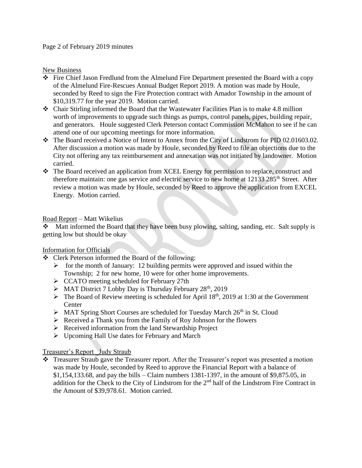#### Page 2 of February 2019 minutes

#### New Business

- Fire Chief Jason Fredlund from the Almelund Fire Department presented the Board with a copy of the Almelund Fire-Rescues Annual Budget Report 2019. A motion was made by Houle, seconded by Reed to sign the Fire Protection contract with Amador Township in the amount of \$10,319.77 for the year 2019. Motion carried.
- $\bullet$  Chair Stirling informed the Board that the Wastewater Facilities Plan is to make 4.8 million worth of improvements to upgrade such things as pumps, control panels, pipes, building repair, and generators. Houle suggested Clerk Peterson contact Commission McMahon to see if he can attend one of our upcoming meetings for more information.
- The Board received a Notice of Intent to Annex from the City of Lindstrom for PID 02.01603.02. After discussion a motion was made by Houle, seconded by Reed to file an objections due to the City not offering any tax reimbursement and annexation was not initiated by landowner. Motion carried.
- The Board received an application from XCEL Energy for permission to replace, construct and therefore maintain: one gas service and electric service to new home at 12133 285<sup>th</sup> Street. After review a motion was made by Houle, seconded by Reed to approve the application from EXCEL Energy. Motion carried.

### Road Report – Matt Wikelius

Matt informed the Board that they have been busy plowing, salting, sanding, etc. Salt supply is getting low but should be okay

## Information for Officials

- Clerk Peterson informed the Board of the following:
	- $\triangleright$  for the month of January: 12 building permits were approved and issued within the Township; 2 for new home, 10 were for other home improvements.
	- $\triangleright$  CCATO meeting scheduled for February 27th
	- $\triangleright$  MAT District 7 Lobby Day is Thursday February 28<sup>th</sup>, 2019
	- $\triangleright$  The Board of Review meeting is scheduled for April 18<sup>th</sup>, 2019 at 1:30 at the Government Center
	- $\triangleright$  MAT Spring Short Courses are scheduled for Tuesday March 26<sup>th</sup> in St. Cloud
	- $\triangleright$  Received a Thank you from the Family of Roy Johnson for the flowers
	- $\triangleright$  Received information from the land Stewardship Project
	- Upcoming Hall Use dates for February and March

## Treasurer's Report \_Judy Straub

\* Treasurer Straub gave the Treasurer report. After the Treasurer's report was presented a motion was made by Houle, seconded by Reed to approve the Financial Report with a balance of \$1,154,133.68, and pay the bills – Claim numbers 1381-1397, in the amount of \$9,875.05, in addition for the Check to the City of Lindstrom for the 2<sup>nd</sup> half of the Lindstrom Fire Contract in the Amount of \$39,978.61. Motion carried.